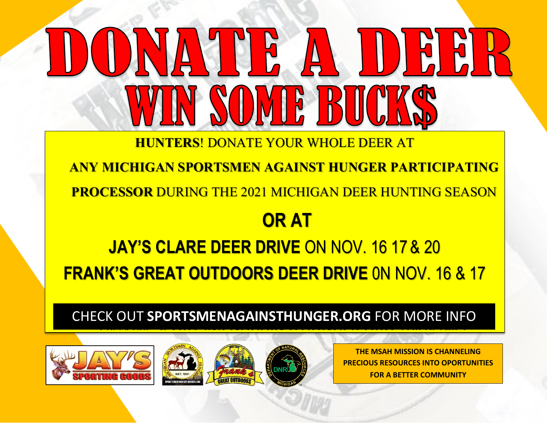**HUNTERS**! DONATE YOUR WHOLE DEER AT

**ANY MICHIGAN SPORTSMEN AGAINST HUNGER PARTICIPATING** 

<mark>DRTSMEN AGAINST HUNGE</mark><br>G THE 2021 MICHIGAN DEER **PROCESSOR** DURING THE 2021 MICHIGAN DEER HUNTING SEASON

## **OR AT**

**JAY'S CLARE DEER DRIVE** ON NOV. 16 17 & 20 **FRANK'S GREAT OUTDOORS DEER DRIVE** 0N NOV. 16 & 17

Check of Sportsmenage and the check of the check of the check of the check of the check of the check of the ch CHECK OUT **SPORTSMENAGAINSTHUNGER.ORG** FOR MORE INFO







**THE MSAH MISSION IS CHANNELING PRECIOUS RESOURCES INTO OPORTUNITIES FOR A BETTER COMMUNITY**